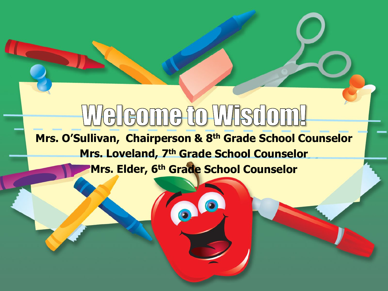# <u>Weleome to Wisdom!</u>

**Mrs. O'Sullivan, Chairperson & 8th Grade School Counselor Mrs. Loveland, 7th Grade School Counselor Mrs. Elder, 6th Grade School Counselor**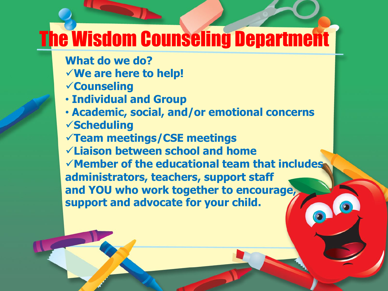# The Wisdom Counseling Department

- **What do we do?**
- **We are here to help!**
- **Counseling**
- **Individual and Group**
- **Academic, social, and/or emotional concerns Scheduling**
- **Team meetings/CSE meetings**
- **Liaison between school and home**
- **Member of the educational team that includes administrators, teachers, support staff and YOU who work together to encourage, support and advocate for your child.**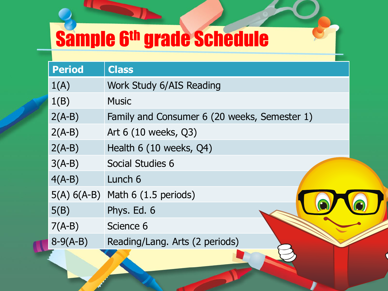# Sample 6th grade Schedule

| <b>Period</b> | <b>Class</b>                                 |
|---------------|----------------------------------------------|
| 1(A)          | Work Study 6/AIS Reading                     |
| 1(B)          | <b>Music</b>                                 |
| $2(A-B)$      | Family and Consumer 6 (20 weeks, Semester 1) |
| $2(A-B)$      | Art 6 (10 weeks, Q3)                         |
| $2(A-B)$      | Health 6 (10 weeks, Q4)                      |
| $3(A-B)$      | Social Studies 6                             |
| $4(A-B)$      | Lunch 6                                      |
|               | $5(A) 6(A-B)$ Math 6 (1.5 periods)           |
| 5(B)          | Phys. Ed. 6                                  |
| $7(A-B)$      | Science 6                                    |
| $8-9(A-B)$    | Reading/Lang. Arts (2 periods)               |
|               |                                              |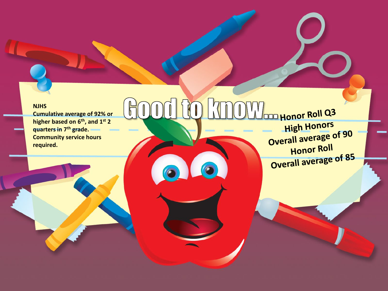#### **NJHS**

**Cumulative average of 92% or higher based on 6th, and 1st 2 quarters in 7th grade. Community service hours required.**

**OOD HONOR ROLL Q3** High Honors Overall average of 90 Honor Roll **Profill average of 85**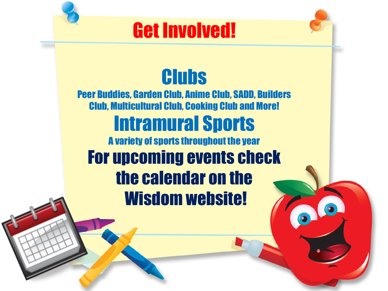### Get Involved!



# **Clubs**

Peer Buddies, Garden Club, Anime Club, SADD, Builders Club, Multicultural Club, Cooking Club and More! Intramural Sports A variety of sports throughout the year For upcoming events check the calendar on the Wisdom website!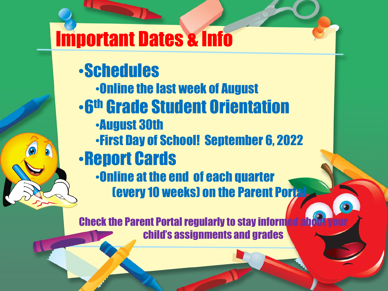# Important Dates & Info

•Schedules •Online the last week of August •6th Grade Student Orientation •August 30th •First Day of School! September 6, 2022 •Report Cards •Online at the end of each quarter (every 10 weeks) on the Parent Portal

**Check the Parent Portal regularly to stay inform** child's assignments and grades